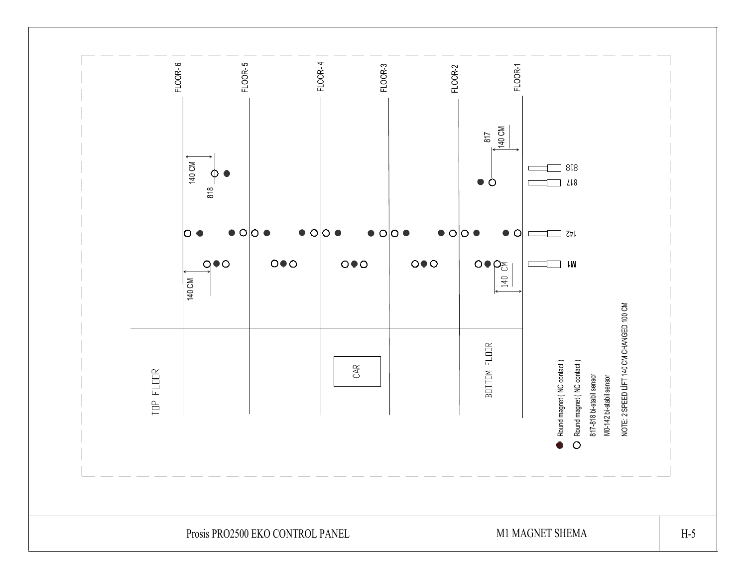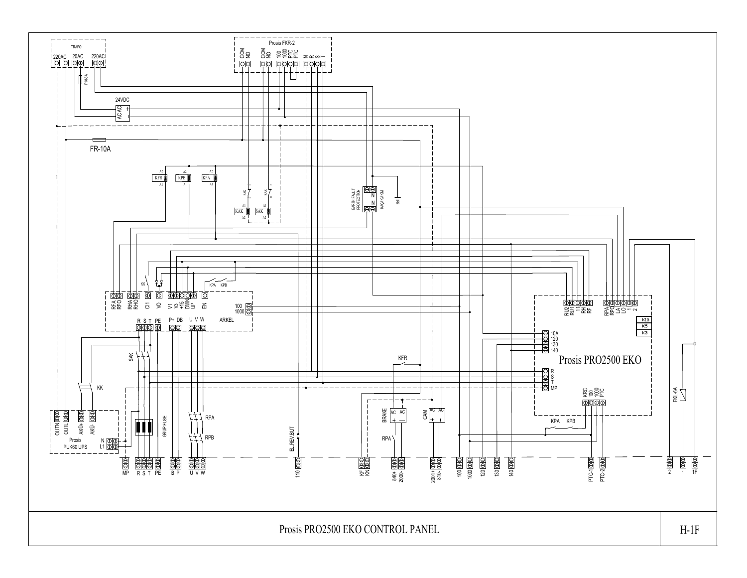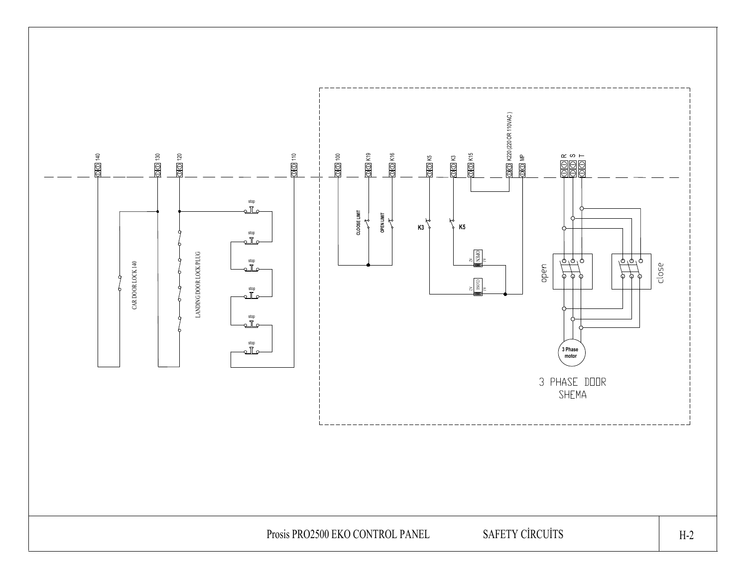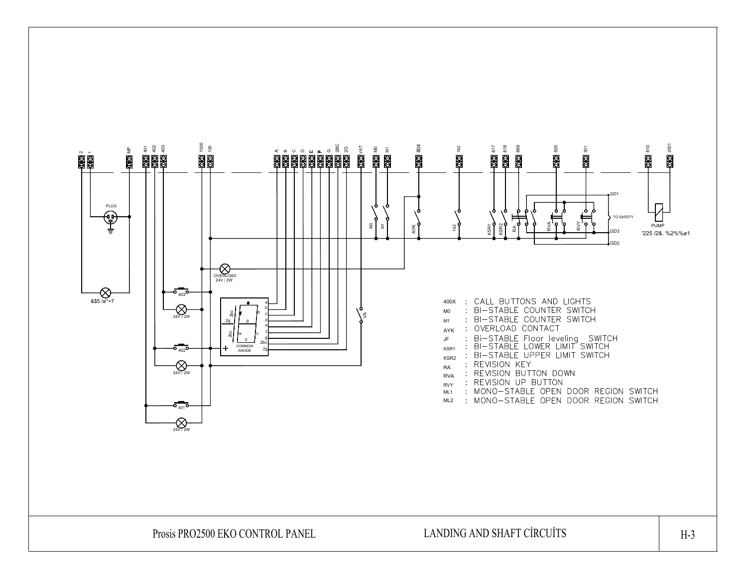

Prosis PRO2500 EKO CONTROL PANEL